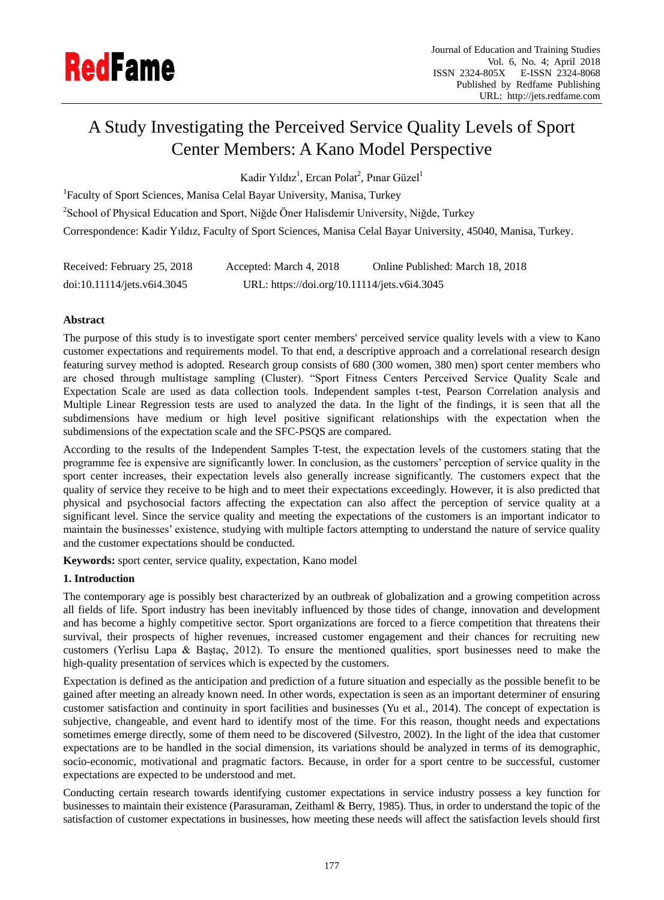# A Study Investigating the Perceived Service Quality Levels of Sport Center Members: A Kano Model Perspective

Kadir Yıldız<sup>1</sup>, Ercan Polat<sup>2</sup>, Pınar Güzel<sup>1</sup>

<sup>1</sup>Faculty of Sport Sciences, Manisa Celal Bayar University, Manisa, Turkey <sup>2</sup>School of Physical Education and Sport, Niğde Öner Halisdemir University, Niğde, Turkey Correspondence: Kadir Yıldız, Faculty of Sport Sciences, Manisa Celal Bayar University, 45040, Manisa, Turkey.

| Received: February 25, 2018 | Accepted: March 4, 2018                      | Online Published: March 18, 2018 |
|-----------------------------|----------------------------------------------|----------------------------------|
| doi:10.11114/jets.v6i4.3045 | URL: https://doi.org/10.11114/jets.v6i4.3045 |                                  |

# **Abstract**

The purpose of this study is to investigate sport center members' perceived service quality levels with a view to Kano customer expectations and requirements model. To that end, a descriptive approach and a correlational research design featuring survey method is adopted. Research group consists of 680 (300 women, 380 men) sport center members who are chosed through multistage sampling (Cluster). "Sport Fitness Centers Perceived Service Quality Scale and Expectation Scale are used as data collection tools. Independent samples t-test, Pearson Correlation analysis and Multiple Linear Regression tests are used to analyzed the data. In the light of the findings, it is seen that all the subdimensions have medium or high level positive significant relationships with the expectation when the subdimensions of the expectation scale and the SFC-PSQS are compared.

According to the results of the Independent Samples T-test, the expectation levels of the customers stating that the programme fee is expensive are significantly lower. In conclusion, as the customers' perception of service quality in the sport center increases, their expectation levels also generally increase significantly. The customers expect that the quality of service they receive to be high and to meet their expectations exceedingly. However, it is also predicted that physical and psychosocial factors affecting the expectation can also affect the perception of service quality at a significant level. Since the service quality and meeting the expectations of the customers is an important indicator to maintain the businesses' existence, studying with multiple factors attempting to understand the nature of service quality and the customer expectations should be conducted.

**Keywords:** sport center, service quality, expectation, Kano model

# **1. Introduction**

The contemporary age is possibly best characterized by an outbreak of globalization and a growing competition across all fields of life. Sport industry has been inevitably influenced by those tides of change, innovation and development and has become a highly competitive sector. Sport organizations are forced to a fierce competition that threatens their survival, their prospects of higher revenues, increased customer engagement and their chances for recruiting new customers (Yerlisu Lapa & Baştaç, 2012). To ensure the mentioned qualities, sport businesses need to make the high-quality presentation of services which is expected by the customers.

Expectation is defined as the anticipation and prediction of a future situation and especially as the possible benefit to be gained after meeting an already known need. In other words, expectation is seen as an important determiner of ensuring customer satisfaction and continuity in sport facilities and businesses (Yu et al., 2014). The concept of expectation is subjective, changeable, and event hard to identify most of the time. For this reason, thought needs and expectations sometimes emerge directly, some of them need to be discovered (Silvestro, 2002). In the light of the idea that customer expectations are to be handled in the social dimension, its variations should be analyzed in terms of its demographic, socio-economic, motivational and pragmatic factors. Because, in order for a sport centre to be successful, customer expectations are expected to be understood and met.

Conducting certain research towards identifying customer expectations in service industry possess a key function for businesses to maintain their existence (Parasuraman, Zeithaml & Berry, 1985). Thus, in order to understand the topic of the satisfaction of customer expectations in businesses, how meeting these needs will affect the satisfaction levels should first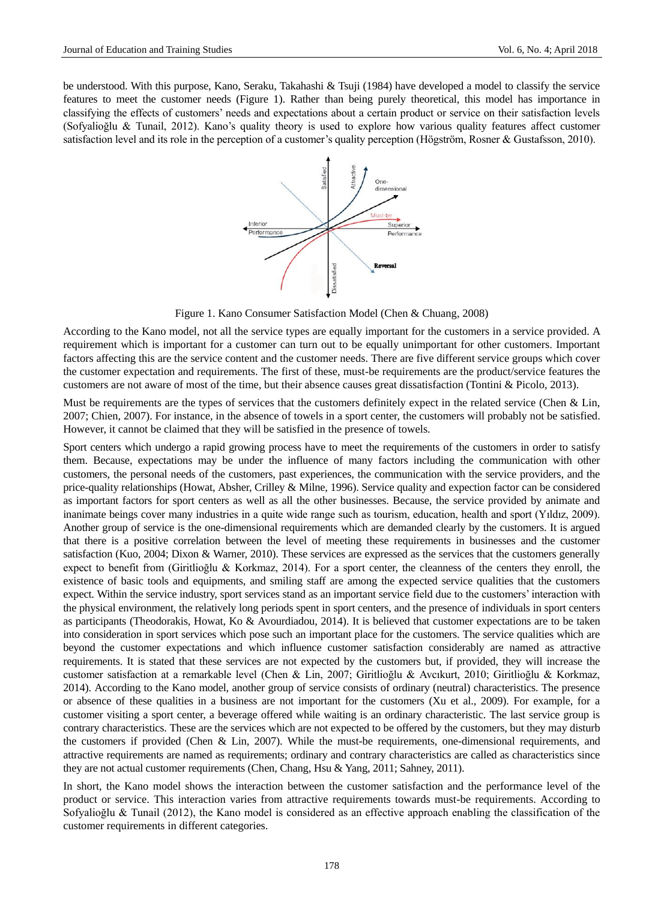be understood. With this purpose, Kano, Seraku, Takahashi & Tsuji (1984) have developed a model to classify the service features to meet the customer needs (Figure 1). Rather than being purely theoretical, this model has importance in classifying the effects of customers' needs and expectations about a certain product or service on their satisfaction levels (Sofyalioğlu & Tunail, 2012). Kano's quality theory is used to explore how various quality features affect customer satisfaction level and its role in the perception of a customer's quality perception (Högström, Rosner & Gustafsson, 2010).



Figure 1. Kano Consumer Satisfaction Model (Chen & Chuang, 2008)

According to the Kano model, not all the service types are equally important for the customers in a service provided. A requirement which is important for a customer can turn out to be equally unimportant for other customers. Important factors affecting this are the service content and the customer needs. There are five different service groups which cover the customer expectation and requirements. The first of these, must-be requirements are the product/service features the customers are not aware of most of the time, but their absence causes great dissatisfaction (Tontini & Picolo, 2013).

Must be requirements are the types of services that the customers definitely expect in the related service (Chen  $\&$  Lin, 2007; Chien, 2007). For instance, in the absence of towels in a sport center, the customers will probably not be satisfied. However, it cannot be claimed that they will be satisfied in the presence of towels.

Sport centers which undergo a rapid growing process have to meet the requirements of the customers in order to satisfy them. Because, expectations may be under the influence of many factors including the communication with other customers, the personal needs of the customers, past experiences, the communication with the service providers, and the price-quality relationships (Howat, Absher, Crilley & Milne, 1996). Service quality and expection factor can be considered as important factors for sport centers as well as all the other businesses. Because, the service provided by animate and inanimate beings cover many industries in a quite wide range such as tourism, education, health and sport (Yıldız, 2009). Another group of service is the one-dimensional requirements which are demanded clearly by the customers. It is argued that there is a positive correlation between the level of meeting these requirements in businesses and the customer satisfaction (Kuo, 2004; Dixon & Warner, 2010). These services are expressed as the services that the customers generally expect to benefit from (Giritlioğlu & Korkmaz, 2014). For a sport center, the cleanness of the centers they enroll, the existence of basic tools and equipments, and smiling staff are among the expected service qualities that the customers expect. Within the service industry, sport services stand as an important service field due to the customers' interaction with the physical environment, the relatively long periods spent in sport centers, and the presence of individuals in sport centers as participants (Theodorakis, Howat, Ko & Avourdiadou, 2014). It is believed that customer expectations are to be taken into consideration in sport services which pose such an important place for the customers. The service qualities which are beyond the customer expectations and which influence customer satisfaction considerably are named as attractive requirements. It is stated that these services are not expected by the customers but, if provided, they will increase the customer satisfaction at a remarkable level (Chen & Lin, 2007; Giritlioğlu & Avcıkurt, 2010; Giritlioğlu & Korkmaz, 2014). According to the Kano model, another group of service consists of ordinary (neutral) characteristics. The presence or absence of these qualities in a business are not important for the customers (Xu et al., 2009). For example, for a customer visiting a sport center, a beverage offered while waiting is an ordinary characteristic. The last service group is contrary characteristics. These are the services which are not expected to be offered by the customers, but they may disturb the customers if provided (Chen & Lin, 2007). While the must-be requirements, one-dimensional requirements, and attractive requirements are named as requirements; ordinary and contrary characteristics are called as characteristics since they are not actual customer requirements (Chen, Chang, Hsu & Yang, 2011; Sahney, 2011).

In short, the Kano model shows the interaction between the customer satisfaction and the performance level of the product or service. This interaction varies from attractive requirements towards must-be requirements. According to Sofyalioğlu & Tunail (2012), the Kano model is considered as an effective approach enabling the classification of the customer requirements in different categories.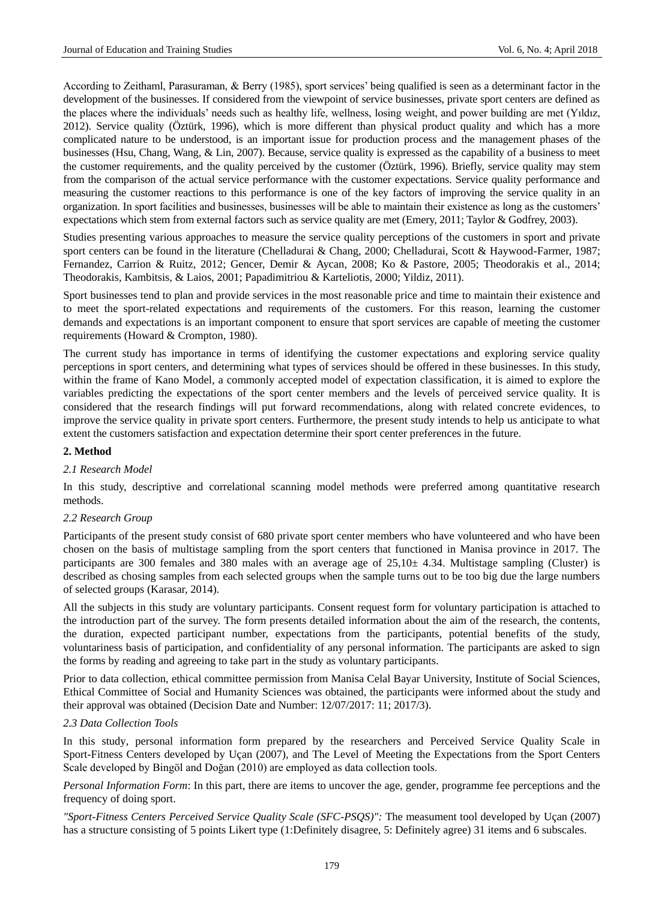According to Zeithaml, Parasuraman, & Berry (1985), sport services' being qualified is seen as a determinant factor in the development of the businesses. If considered from the viewpoint of service businesses, private sport centers are defined as the places where the individuals' needs such as healthy life, wellness, losing weight, and power building are met (Yıldız, 2012). Service quality (Öztürk, 1996), which is more different than physical product quality and which has a more complicated nature to be understood, is an important issue for production process and the management phases of the businesses (Hsu, Chang, Wang, & Lin, 2007). Because, service quality is expressed as the capability of a business to meet the customer requirements, and the quality perceived by the customer (Öztürk, 1996). Briefly, service quality may stem from the comparison of the actual service performance with the customer expectations. Service quality performance and measuring the customer reactions to this performance is one of the key factors of improving the service quality in an organization. In sport facilities and businesses, businesses will be able to maintain their existence as long as the customers' expectations which stem from external factors such as service quality are met (Emery, 2011; Taylor & Godfrey, 2003).

Studies presenting various approaches to measure the service quality perceptions of the customers in sport and private sport centers can be found in the literature (Chelladurai & Chang, 2000; Chelladurai, Scott & Haywood-Farmer, 1987; Fernandez, Carrion & Ruitz, 2012; Gencer, Demir & Aycan, 2008; Ko & Pastore, 2005; Theodorakis et al., 2014; Theodorakis, Kambitsis, & Laios, 2001; Papadimitriou & Karteliotis, 2000; Yildiz, 2011).

Sport businesses tend to plan and provide services in the most reasonable price and time to maintain their existence and to meet the sport-related expectations and requirements of the customers. For this reason, learning the customer demands and expectations is an important component to ensure that sport services are capable of meeting the customer requirements (Howard & Crompton, 1980).

The current study has importance in terms of identifying the customer expectations and exploring service quality perceptions in sport centers, and determining what types of services should be offered in these businesses. In this study, within the frame of Kano Model, a commonly accepted model of expectation classification, it is aimed to explore the variables predicting the expectations of the sport center members and the levels of perceived service quality. It is considered that the research findings will put forward recommendations, along with related concrete evidences, to improve the service quality in private sport centers. Furthermore, the present study intends to help us anticipate to what extent the customers satisfaction and expectation determine their sport center preferences in the future.

## **2. Method**

#### *2.1 Research Model*

In this study, descriptive and correlational scanning model methods were preferred among quantitative research methods.

#### *2.2 Research Group*

Participants of the present study consist of 680 private sport center members who have volunteered and who have been chosen on the basis of multistage sampling from the sport centers that functioned in Manisa province in 2017. The participants are 300 females and 380 males with an average age of  $25,10\pm 4.34$ . Multistage sampling (Cluster) is described as chosing samples from each selected groups when the sample turns out to be too big due the large numbers of selected groups (Karasar, 2014).

All the subjects in this study are voluntary participants. Consent request form for voluntary participation is attached to the introduction part of the survey. The form presents detailed information about the aim of the research, the contents, the duration, expected participant number, expectations from the participants, potential benefits of the study, voluntariness basis of participation, and confidentiality of any personal information. The participants are asked to sign the forms by reading and agreeing to take part in the study as voluntary participants.

Prior to data collection, ethical committee permission from Manisa Celal Bayar University, Institute of Social Sciences, Ethical Committee of Social and Humanity Sciences was obtained, the participants were informed about the study and their approval was obtained (Decision Date and Number: 12/07/2017: 11; 2017/3).

#### *2.3 Data Collection Tools*

In this study, personal information form prepared by the researchers and Perceived Service Quality Scale in Sport-Fitness Centers developed by Uçan (2007), and The Level of Meeting the Expectations from the Sport Centers Scale developed by Bingöl and Doğan (2010) are employed as data collection tools.

*Personal Information Form*: In this part, there are items to uncover the age, gender, programme fee perceptions and the frequency of doing sport.

*"Sport-Fitness Centers Perceived Service Quality Scale (SFC-PSQS)":* The measument tool developed by Uçan (2007) has a structure consisting of 5 points Likert type (1:Definitely disagree, 5: Definitely agree) 31 items and 6 subscales.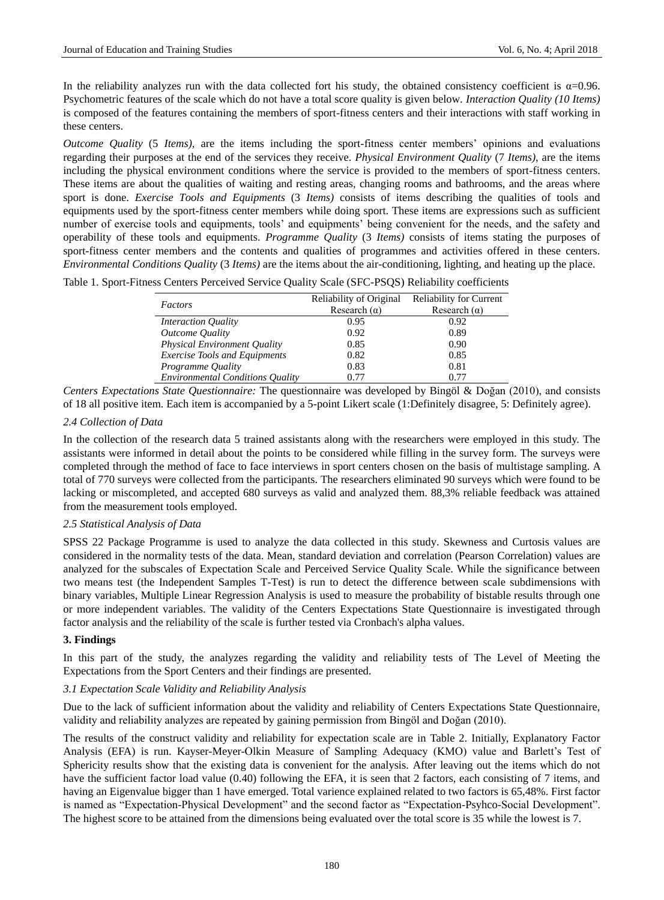In the reliability analyzes run with the data collected fort his study, the obtained consistency coefficient is  $\alpha$ =0.96. Psychometric features of the scale which do not have a total score quality is given below. *Interaction Quality (10 Items)* is composed of the features containing the members of sport-fitness centers and their interactions with staff working in these centers.

*Outcome Quality* (5 *Items)*, are the items including the sport-fitness center members' opinions and evaluations regarding their purposes at the end of the services they receive. *Physical Environment Quality* (7 *Items)*, are the items including the physical environment conditions where the service is provided to the members of sport-fitness centers. These items are about the qualities of waiting and resting areas, changing rooms and bathrooms, and the areas where sport is done. *Exercise Tools and Equipments* (3 *Items)* consists of items describing the qualities of tools and equipments used by the sport-fitness center members while doing sport. These items are expressions such as sufficient number of exercise tools and equipments, tools' and equipments' being convenient for the needs, and the safety and operability of these tools and equipments. *Programme Quality* (3 *Items)* consists of items stating the purposes of sport-fitness center members and the contents and qualities of programmes and activities offered in these centers. *Environmental Conditions Quality* (3 *Items)* are the items about the air-conditioning, lighting, and heating up the place.

|  |  |  | Table 1. Sport-Fitness Centers Perceived Service Quality Scale (SFC-PSQS) Reliability coefficients |  |
|--|--|--|----------------------------------------------------------------------------------------------------|--|
|  |  |  |                                                                                                    |  |

| Factors                                 | Reliability of Original | <b>Reliability for Current</b> |
|-----------------------------------------|-------------------------|--------------------------------|
|                                         | Research $(\alpha)$     | Research $(\alpha)$            |
| <i>Interaction Quality</i>              | 0.95                    | 0.92                           |
| Outcome Quality                         | 0.92                    | 0.89                           |
| <b>Physical Environment Quality</b>     | 0.85                    | 0.90                           |
| <b>Exercise Tools and Equipments</b>    | 0.82                    | 0.85                           |
| Programme Quality                       | 0.83                    | 0.81                           |
| <b>Environmental Conditions Quality</b> | 0.77                    | በ 77                           |

*Centers Expectations State Questionnaire:* The questionnaire was developed by Bingöl & Doğan (2010), and consists of 18 all positive item. Each item is accompanied by a 5-point Likert scale (1:Definitely disagree, 5: Definitely agree).

### *2.4 Collection of Data*

In the collection of the research data 5 trained assistants along with the researchers were employed in this study. The assistants were informed in detail about the points to be considered while filling in the survey form. The surveys were completed through the method of face to face interviews in sport centers chosen on the basis of multistage sampling. A total of 770 surveys were collected from the participants. The researchers eliminated 90 surveys which were found to be lacking or miscompleted, and accepted 680 surveys as valid and analyzed them. 88,3% reliable feedback was attained from the measurement tools employed.

#### *2.5 Statistical Analysis of Data*

SPSS 22 Package Programme is used to analyze the data collected in this study. Skewness and Curtosis values are considered in the normality tests of the data. Mean, standard deviation and correlation (Pearson Correlation) values are analyzed for the subscales of Expectation Scale and Perceived Service Quality Scale. While the significance between two means test (the Independent Samples T-Test) is run to detect the difference between scale subdimensions with binary variables, Multiple Linear Regression Analysis is used to measure the probability of bistable results through one or more independent variables. The validity of the Centers Expectations State Questionnaire is investigated through factor analysis and the reliability of the scale is further tested via Cronbach's alpha values.

#### **3. Findings**

In this part of the study, the analyzes regarding the validity and reliability tests of The Level of Meeting the Expectations from the Sport Centers and their findings are presented.

## *3.1 Expectation Scale Validity and Reliability Analysis*

Due to the lack of sufficient information about the validity and reliability of Centers Expectations State Questionnaire, validity and reliability analyzes are repeated by gaining permission from Bingöl and Doğan (2010).

The results of the construct validity and reliability for expectation scale are in Table 2. Initially, Explanatory Factor Analysis (EFA) is run. Kayser-Meyer-Olkin Measure of Sampling Adequacy (KMO) value and Barlett's Test of Sphericity results show that the existing data is convenient for the analysis. After leaving out the items which do not have the sufficient factor load value (0.40) following the EFA, it is seen that 2 factors, each consisting of 7 items, and having an Eigenvalue bigger than 1 have emerged. Total varience explained related to two factors is 65,48%. First factor is named as "Expectation-Physical Development" and the second factor as "Expectation-Psyhco-Social Development". The highest score to be attained from the dimensions being evaluated over the total score is 35 while the lowest is 7.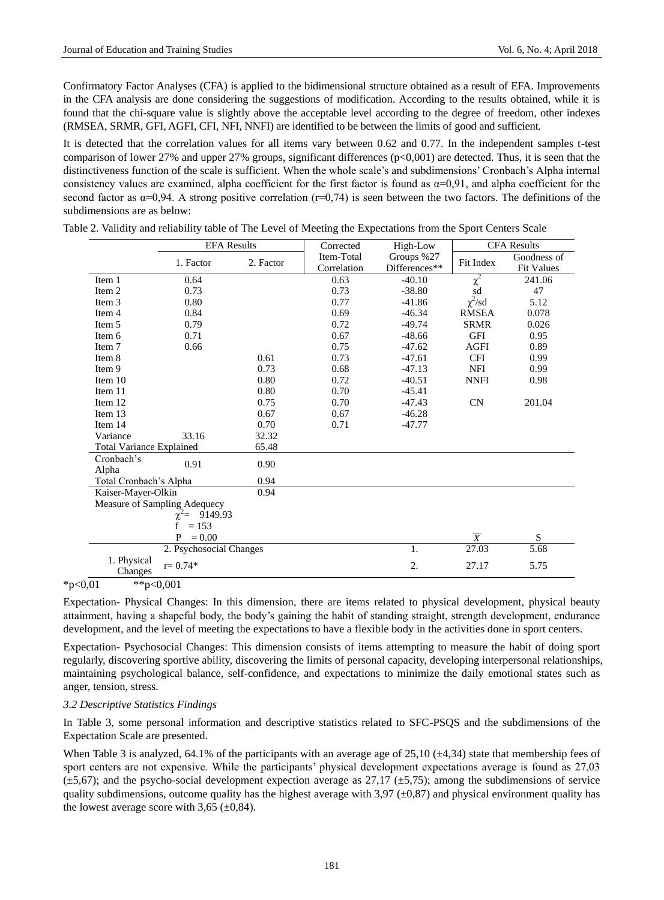Confirmatory Factor Analyses (CFA) is applied to the bidimensional structure obtained as a result of EFA. Improvements in the CFA analysis are done considering the suggestions of modification. According to the results obtained, while it is found that the chi-square value is slightly above the acceptable level according to the degree of freedom, other indexes (RMSEA, SRMR, GFI, AGFI, CFI, NFI, NNFI) are identified to be between the limits of good and sufficient.

It is detected that the correlation values for all items vary between 0.62 and 0.77. In the independent samples t-test comparison of lower 27% and upper 27% groups, significant differences (p<0,001) are detected. Thus, it is seen that the distinctiveness function of the scale is sufficient. When the whole scale's and subdimensions' Cronbach's Alpha internal consistency values are examined, alpha coefficient for the first factor is found as  $\alpha=0.91$ , and alpha coefficient for the second factor as  $\alpha=0.94$ . A strong positive correlation (r=0,74) is seen between the two factors. The definitions of the subdimensions are as below:

|                                 |                              | <b>EFA Results</b> | Corrected   | High-Low      |                | <b>CFA Results</b> |
|---------------------------------|------------------------------|--------------------|-------------|---------------|----------------|--------------------|
|                                 | 1. Factor                    | 2. Factor          | Item-Total  | Groups %27    | Fit Index      | Goodness of        |
|                                 |                              |                    | Correlation | Differences** |                | <b>Fit Values</b>  |
| Item 1                          | 0.64                         |                    | 0.63        | $-40.10$      | $\chi^2$       | 241.06             |
| Item 2                          | 0.73                         |                    | 0.73        | $-38.80$      | sd             | 47                 |
| Item 3                          | 0.80                         |                    | 0.77        | $-41.86$      | $\chi^2$ /sd   | 5.12               |
| Item 4                          | 0.84                         |                    | 0.69        | $-46.34$      | <b>RMSEA</b>   | 0.078              |
| Item 5                          | 0.79                         |                    | 0.72        | $-49.74$      | <b>SRMR</b>    | 0.026              |
| Item 6                          | 0.71                         |                    | 0.67        | $-48.66$      | <b>GFI</b>     | 0.95               |
| Item 7                          | 0.66                         |                    | 0.75        | $-47.62$      | <b>AGFI</b>    | 0.89               |
| Item 8                          |                              | 0.61               | 0.73        | $-47.61$      | <b>CFI</b>     | 0.99               |
| Item 9                          |                              | 0.73               | 0.68        | $-47.13$      | <b>NFI</b>     | 0.99               |
| Item 10                         |                              | 0.80               | 0.72        | $-40.51$      | <b>NNFI</b>    | 0.98               |
| Item 11                         |                              | 0.80               | 0.70        | $-45.41$      |                |                    |
| Item 12                         |                              | 0.75               | 0.70        | $-47.43$      | CN             | 201.04             |
| Item 13                         |                              | 0.67               | 0.67        | $-46.28$      |                |                    |
| Item 14                         |                              | 0.70               | 0.71        | $-47.77$      |                |                    |
| Variance                        | 33.16                        | 32.32              |             |               |                |                    |
| <b>Total Variance Explained</b> |                              | 65.48              |             |               |                |                    |
| Cronbach's<br>Alpha             | 0.91                         | 0.90               |             |               |                |                    |
| Total Cronbach's Alpha          |                              | 0.94               |             |               |                |                    |
| Kaiser-Mayer-Olkin              |                              | 0.94               |             |               |                |                    |
|                                 | Measure of Sampling Adequecy |                    |             |               |                |                    |
|                                 | 9149.93<br>$\chi^2$ =        |                    |             |               |                |                    |
|                                 | $= 153$<br>f                 |                    |             |               |                |                    |
|                                 | P<br>$= 0.00$                |                    |             |               | $\overline{X}$ | S                  |
|                                 | 2. Psychosocial Changes      |                    |             | 1.            | 27.03          | 5.68               |
| 1. Physical<br>Changes          | $r = 0.74*$                  |                    |             | 2.            | 27.17          | 5.75               |

|  |  |  | Table 2. Validity and reliability table of The Level of Meeting the Expectations from the Sport Centers Scale |  |
|--|--|--|---------------------------------------------------------------------------------------------------------------|--|
|  |  |  |                                                                                                               |  |

 $*p<0,01$   $*p<0,001$ 

Expectation- Physical Changes: In this dimension, there are items related to physical development, physical beauty attainment, having a shapeful body, the body's gaining the habit of standing straight, strength development, endurance development, and the level of meeting the expectations to have a flexible body in the activities done in sport centers.

Expectation- Psychosocial Changes: This dimension consists of items attempting to measure the habit of doing sport regularly, discovering sportive ability, discovering the limits of personal capacity, developing interpersonal relationships, maintaining psychological balance, self-confidence, and expectations to minimize the daily emotional states such as anger, tension, stress.

#### *3.2 Descriptive Statistics Findings*

In Table 3, some personal information and descriptive statistics related to SFC-PSQS and the subdimensions of the Expectation Scale are presented.

When Table 3 is analyzed, 64.1% of the participants with an average age of 25,10 ( $\pm$ 4,34) state that membership fees of sport centers are not expensive. While the participants' physical development expectations average is found as 27,03  $(\pm 5,67)$ ; and the psycho-social development expection average as 27,17 ( $\pm 5,75$ ); among the subdimensions of service quality subdimensions, outcome quality has the highest average with  $3.97 \, (\pm 0.87)$  and physical environment quality has the lowest average score with  $3,65$  ( $\pm 0,84$ ).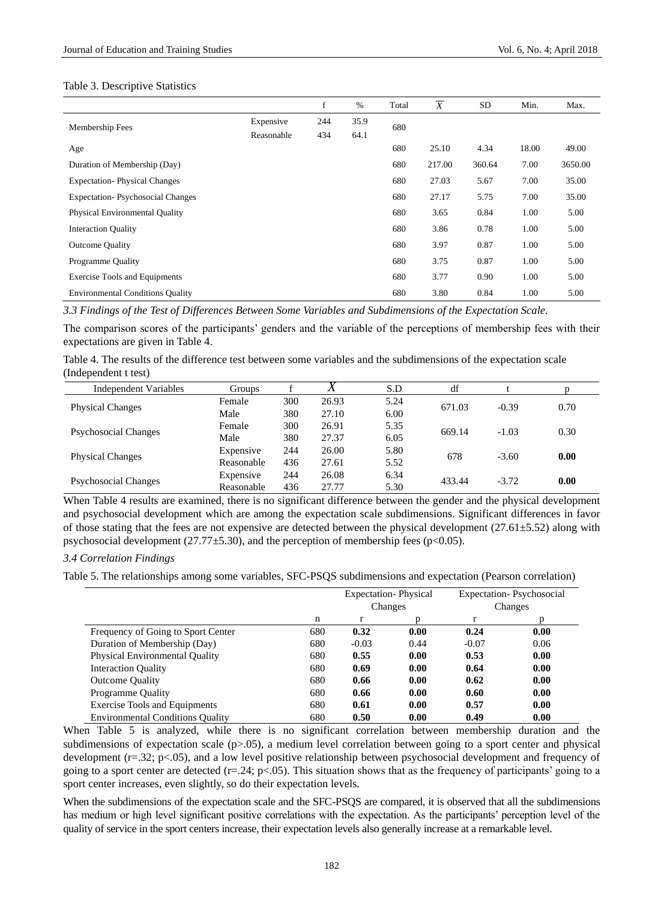#### Table 3. Descriptive Statistics

|                                         |            | f   | $\%$ | Total | X      | <b>SD</b> | Min.  | Max.    |
|-----------------------------------------|------------|-----|------|-------|--------|-----------|-------|---------|
| Membership Fees                         | Expensive  | 244 | 35.9 | 680   |        |           |       |         |
|                                         | Reasonable | 434 | 64.1 |       |        |           |       |         |
| Age                                     |            |     |      | 680   | 25.10  | 4.34      | 18.00 | 49.00   |
| Duration of Membership (Day)            |            |     |      | 680   | 217.00 | 360.64    | 7.00  | 3650.00 |
| <b>Expectation-Physical Changes</b>     |            |     |      | 680   | 27.03  | 5.67      | 7.00  | 35.00   |
| <b>Expectation-Psychosocial Changes</b> |            |     |      | 680   | 27.17  | 5.75      | 7.00  | 35.00   |
| <b>Physical Environmental Quality</b>   |            |     |      | 680   | 3.65   | 0.84      | 1.00  | 5.00    |
| <b>Interaction Quality</b>              |            |     |      | 680   | 3.86   | 0.78      | 1.00  | 5.00    |
| <b>Outcome Quality</b>                  |            |     |      | 680   | 3.97   | 0.87      | 1.00  | 5.00    |
| Programme Quality                       |            |     |      | 680   | 3.75   | 0.87      | 1.00  | 5.00    |
| <b>Exercise Tools and Equipments</b>    |            |     |      | 680   | 3.77   | 0.90      | 1.00  | 5.00    |
| <b>Environmental Conditions Quality</b> |            |     |      | 680   | 3.80   | 0.84      | 1.00  | 5.00    |

*3.3 Findings of the Test of Differences Between Some Variables and Subdimensions of the Expectation Scale.* 

The comparison scores of the participants' genders and the variable of the perceptions of membership fees with their expectations are given in Table 4.

Table 4. The results of the difference test between some variables and the subdimensions of the expectation scale (Independent t test)

| Independent Variables       | Groups     |     |       | S.D  | df     |         |      |
|-----------------------------|------------|-----|-------|------|--------|---------|------|
|                             | Female     | 300 | 26.93 | 5.24 | 671.03 | $-0.39$ | 0.70 |
| <b>Physical Changes</b>     | Male       | 380 | 27.10 | 6.00 |        |         |      |
| <b>Psychosocial Changes</b> | Female     | 300 | 26.91 | 5.35 | 669.14 | $-1.03$ | 0.30 |
|                             | Male       | 380 | 27.37 | 6.05 |        |         |      |
| <b>Physical Changes</b>     | Expensive  | 244 | 26.00 | 5.80 | 678    | $-3.60$ | 0.00 |
|                             | Reasonable | 436 | 27.61 | 5.52 |        |         |      |
|                             | Expensive  | 244 | 26.08 | 6.34 | 433.44 | $-3.72$ | 0.00 |
| <b>Psychosocial Changes</b> | Reasonable | 436 | 27.77 | 5.30 |        |         |      |

When Table 4 results are examined, there is no significant difference between the gender and the physical development and psychosocial development which are among the expectation scale subdimensions. Significant differences in favor of those stating that the fees are not expensive are detected between the physical development (27.61 $\pm$ 5.52) along with psychosocial development (27.77 $\pm$ 5.30), and the perception of membership fees (p<0.05).

## *3.4 Correlation Findings*

Table 5. The relationships among some variables, SFC-PSQS subdimensions and expectation (Pearson correlation)

|                                         |     | <b>Expectation-Physical</b><br>Changes |      | <b>Expectation-Psychosocial</b><br>Changes |      |
|-----------------------------------------|-----|----------------------------------------|------|--------------------------------------------|------|
|                                         | n   | r                                      | n    | r                                          | D    |
| Frequency of Going to Sport Center      | 680 | 0.32                                   | 0.00 | 0.24                                       | 0.00 |
| Duration of Membership (Day)            | 680 | $-0.03$                                | 0.44 | $-0.07$                                    | 0.06 |
| <b>Physical Environmental Quality</b>   | 680 | 0.55                                   | 0.00 | 0.53                                       | 0.00 |
| <b>Interaction Quality</b>              | 680 | 0.69                                   | 0.00 | 0.64                                       | 0.00 |
| <b>Outcome Quality</b>                  | 680 | 0.66                                   | 0.00 | 0.62                                       | 0.00 |
| Programme Quality                       | 680 | 0.66                                   | 0.00 | 0.60                                       | 0.00 |
| <b>Exercise Tools and Equipments</b>    | 680 | 0.61                                   | 0.00 | 0.57                                       | 0.00 |
| <b>Environmental Conditions Ouality</b> | 680 | 0.50                                   | 0.00 | 0.49                                       | 0.00 |

When Table 5 is analyzed, while there is no significant correlation between membership duration and the subdimensions of expectation scale (p>.05), a medium level correlation between going to a sport center and physical development (r=.32; p<.05), and a low level positive relationship between psychosocial development and frequency of going to a sport center are detected  $(r=.24; p<.05)$ . This situation shows that as the frequency of participants' going to a sport center increases, even slightly, so do their expectation levels.

When the subdimensions of the expectation scale and the SFC-PSQS are compared, it is observed that all the subdimensions has medium or high level significant positive correlations with the expectation. As the participants' perception level of the quality of service in the sport centers increase, their expectation levels also generally increase at a remarkable level.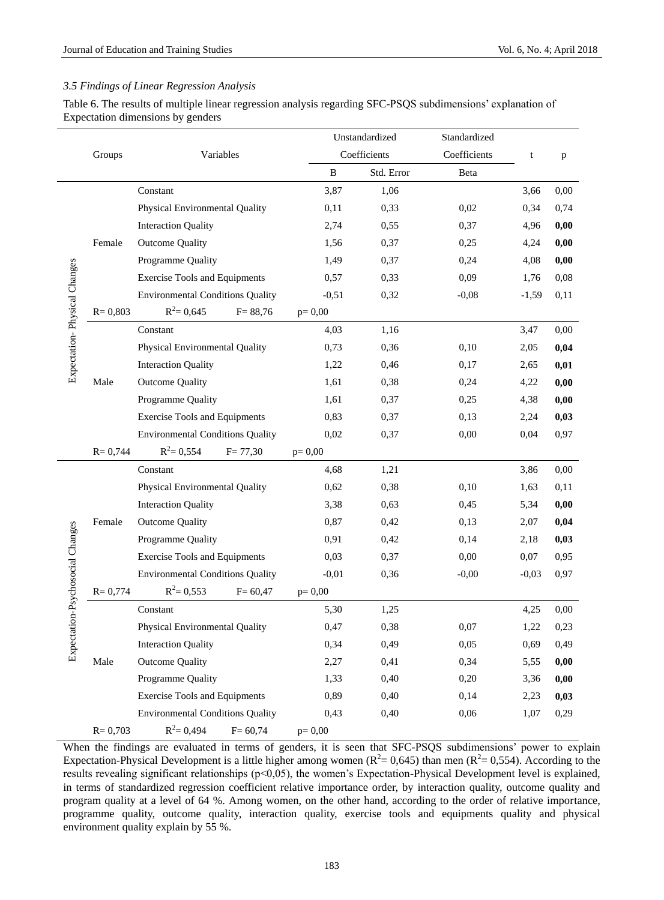## *3.5 Findings of Linear Regression Analysis*

Table 6. The results of multiple linear regression analysis regarding SFC-PSQS subdimensions' explanation of Expectation dimensions by genders

|                                  |             |                                         |          | Unstandardized | Standardized |         |      |
|----------------------------------|-------------|-----------------------------------------|----------|----------------|--------------|---------|------|
|                                  | Groups      | Variables                               |          | Coefficients   | Coefficients | t       | p    |
|                                  |             |                                         | B        | Std. Error     | Beta         |         |      |
|                                  |             | Constant                                | 3,87     | 1,06           |              | 3,66    | 0,00 |
|                                  |             | Physical Environmental Quality          | 0,11     | 0,33           | 0,02         | 0,34    | 0,74 |
|                                  |             | <b>Interaction Quality</b>              | 2,74     | 0,55           | 0,37         | 4,96    | 0,00 |
|                                  | Female      | <b>Outcome Quality</b>                  | 1,56     | 0,37           | 0,25         | 4,24    | 0,00 |
|                                  |             | Programme Quality                       | 1,49     | 0,37           | 0,24         | 4,08    | 0,00 |
|                                  |             | <b>Exercise Tools and Equipments</b>    | 0,57     | 0,33           | 0,09         | 1,76    | 0,08 |
|                                  |             | <b>Environmental Conditions Quality</b> | $-0,51$  | 0,32           | $-0,08$      | $-1,59$ | 0,11 |
| Expectation-Physical Changes     | $R = 0,803$ | $R^2 = 0,645$<br>$F = 88,76$            | $p=0,00$ |                |              |         |      |
|                                  |             | Constant                                | 4,03     | 1,16           |              | 3,47    | 0,00 |
|                                  |             | Physical Environmental Quality          | 0,73     | 0,36           | 0,10         | 2,05    | 0,04 |
|                                  |             | <b>Interaction Quality</b>              | 1,22     | 0,46           | 0,17         | 2,65    | 0,01 |
|                                  | Male        | <b>Outcome Quality</b>                  | 1,61     | 0,38           | 0,24         | 4,22    | 0,00 |
|                                  |             | Programme Quality                       | 1,61     | 0,37           | 0,25         | 4,38    | 0,00 |
|                                  |             | <b>Exercise Tools and Equipments</b>    | 0,83     | 0,37           | 0,13         | 2,24    | 0,03 |
|                                  |             | <b>Environmental Conditions Quality</b> | 0,02     | 0,37           | 0,00         | 0,04    | 0,97 |
|                                  | $R = 0,744$ | $R^2 = 0,554$<br>$F = 77,30$            | $p=0,00$ |                |              |         |      |
|                                  |             | Constant                                | 4,68     | 1,21           |              | 3,86    | 0,00 |
|                                  |             | Physical Environmental Quality          | 0,62     | 0,38           | 0,10         | 1,63    | 0,11 |
|                                  |             | <b>Interaction Quality</b>              | 3,38     | 0,63           | 0,45         | 5,34    | 0,00 |
|                                  | Female      | <b>Outcome Quality</b>                  | 0,87     | 0,42           | 0,13         | 2,07    | 0,04 |
|                                  |             | Programme Quality                       | 0,91     | 0,42           | 0,14         | 2,18    | 0,03 |
|                                  |             | <b>Exercise Tools and Equipments</b>    | 0,03     | 0,37           | 0,00         | 0,07    | 0,95 |
|                                  |             | <b>Environmental Conditions Quality</b> | $-0,01$  | 0,36           | $-0,00$      | $-0,03$ | 0,97 |
| Expectation-Psychosocial Changes | $R = 0,774$ | $R^2 = 0,553$<br>$F = 60,47$            | $p=0,00$ |                |              |         |      |
|                                  |             | Constant                                | 5,30     | 1,25           |              | 4,25    | 0,00 |
|                                  |             | Physical Environmental Quality          | 0,47     | 0,38           | 0,07         | 1,22    | 0,23 |
|                                  |             | <b>Interaction Quality</b>              | 0,34     | 0,49           | 0,05         | 0,69    | 0,49 |
|                                  | Male        | <b>Outcome Quality</b>                  | 2,27     | 0,41           | 0,34         | 5,55    | 0,00 |
|                                  |             | Programme Quality                       | 1,33     | 0,40           | 0,20         | 3,36    | 0,00 |
|                                  |             | <b>Exercise Tools and Equipments</b>    | 0,89     | 0,40           | 0,14         | 2,23    | 0,03 |
|                                  |             | <b>Environmental Conditions Quality</b> | 0,43     | 0,40           | 0,06         | 1,07    | 0,29 |
|                                  | $R = 0,703$ | $R^2 = 0,494$<br>$F = 60,74$            | $p=0,00$ |                |              |         |      |

When the findings are evaluated in terms of genders, it is seen that SFC-PSQS subdimensions' power to explain Expectation-Physical Development is a little higher among women ( $R^2 = 0.645$ ) than men ( $R^2 = 0.554$ ). According to the results revealing significant relationships (p<0,05), the women's Expectation-Physical Development level is explained, in terms of standardized regression coefficient relative importance order, by interaction quality, outcome quality and program quality at a level of 64 %. Among women, on the other hand, according to the order of relative importance, programme quality, outcome quality, interaction quality, exercise tools and equipments quality and physical environment quality explain by 55 %.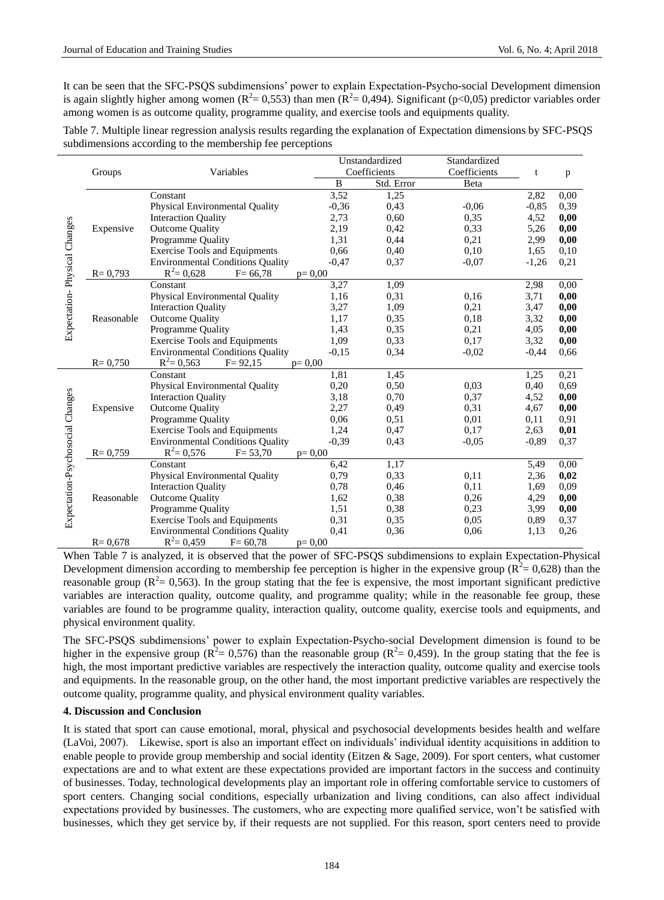It can be seen that the SFC-PSQS subdimensions' power to explain Expectation-Psycho-social Development dimension is again slightly higher among women ( $R^2 = 0.553$ ) than men ( $R^2 = 0.494$ ). Significant ( $p < 0.05$ ) predictor variables order among women is as outcome quality, programme quality, and exercise tools and equipments quality.

| Table 7. Multiple linear regression analysis results regarding the explanation of Expectation dimensions by SFC-PSQS |  |  |  |
|----------------------------------------------------------------------------------------------------------------------|--|--|--|
| subdimensions according to the membership fee perceptions                                                            |  |  |  |

|                                  |             |                                         |          | Unstandardized | Standardized |         |      |
|----------------------------------|-------------|-----------------------------------------|----------|----------------|--------------|---------|------|
|                                  | Groups      | Variables                               |          | Coefficients   | Coefficients | t       | p    |
|                                  |             |                                         | B        | Std. Error     | Beta         |         |      |
|                                  |             | Constant                                | 3,52     | 1,25           |              | 2,82    | 0.00 |
|                                  |             | Physical Environmental Quality          | $-0,36$  | 0,43           | $-0.06$      | $-0,85$ | 0,39 |
|                                  |             | <b>Interaction Quality</b>              | 2,73     | 0.60           | 0,35         | 4,52    | 0,00 |
|                                  | Expensive   | <b>Outcome Quality</b>                  | 2,19     | 0.42           | 0,33         | 5,26    | 0,00 |
|                                  |             | Programme Quality                       | 1,31     | 0,44           | 0,21         | 2,99    | 0,00 |
|                                  |             | <b>Exercise Tools and Equipments</b>    | 0,66     | 0.40           | 0.10         | 1,65    | 0.10 |
|                                  |             | <b>Environmental Conditions Quality</b> | $-0.47$  | 0,37           | $-0.07$      | $-1,26$ | 0,21 |
| Expectation-Physical Changes     | $R = 0,793$ | $R^2 = 0,628$<br>$F = 66,78$            | $p=0,00$ |                |              |         |      |
|                                  |             | Constant                                | 3,27     | 1,09           |              | 2,98    | 0.00 |
|                                  |             | Physical Environmental Quality          | 1,16     | 0,31           | 0,16         | 3,71    | 0,00 |
|                                  |             | <b>Interaction Quality</b>              | 3,27     | 1,09           | 0,21         | 3,47    | 0,00 |
|                                  | Reasonable  | <b>Outcome Quality</b>                  | 1,17     | 0.35           | 0,18         | 3,32    | 0,00 |
|                                  |             | Programme Quality                       | 1,43     | 0.35           | 0,21         | 4,05    | 0,00 |
|                                  |             | <b>Exercise Tools and Equipments</b>    | 1,09     | 0.33           | 0.17         | 3,32    | 0,00 |
|                                  |             | <b>Environmental Conditions Quality</b> | $-0,15$  | 0.34           | $-0.02$      | $-0,44$ | 0,66 |
|                                  | $R = 0,750$ | $R^2 = 0,563$<br>$F = 92,15$            | $p=0,00$ |                |              |         |      |
|                                  |             | Constant                                | 1,81     | 1,45           |              | 1,25    | 0,21 |
|                                  |             | Physical Environmental Quality          | 0,20     | 0,50           | 0,03         | 0,40    | 0,69 |
|                                  |             | <b>Interaction Quality</b>              | 3,18     | 0,70           | 0,37         | 4,52    | 0,00 |
|                                  | Expensive   | <b>Outcome Quality</b>                  | 2,27     | 0.49           | 0,31         | 4,67    | 0,00 |
|                                  |             | Programme Quality                       | 0,06     | 0.51           | 0.01         | 0,11    | 0,91 |
|                                  |             | <b>Exercise Tools and Equipments</b>    | 1,24     | 0,47           | 0,17         | 2,63    | 0,01 |
|                                  |             | <b>Environmental Conditions Quality</b> | $-0,39$  | 0.43           | $-0.05$      | $-0.89$ | 0,37 |
| Expectation-Psychosocial Changes | $R = 0,759$ | $R^2 = 0,576$<br>$F = 53,70$            | $p=0.00$ |                |              |         |      |
|                                  |             | Constant                                | 6,42     | 1,17           |              | 5,49    | 0,00 |
|                                  |             | Physical Environmental Quality          | 0,79     | 0,33           | 0,11         | 2,36    | 0,02 |
|                                  |             | <b>Interaction Quality</b>              | 0,78     | 0.46           | 0,11         | 1,69    | 0,09 |
|                                  | Reasonable  | <b>Outcome Quality</b>                  | 1,62     | 0.38           | 0,26         | 4,29    | 0,00 |
|                                  |             | Programme Quality                       | 1,51     | 0.38           | 0.23         | 3,99    | 0,00 |
|                                  |             | <b>Exercise Tools and Equipments</b>    | 0,31     | 0.35           | 0.05         | 0.89    | 0,37 |
|                                  |             | <b>Environmental Conditions Quality</b> | 0,41     | 0,36           | 0.06         | 1,13    | 0,26 |
|                                  | $R = 0.678$ | $R^2 = 0,459$<br>$F = 60,78$            | $p=0,00$ |                |              |         |      |

When Table 7 is analyzed, it is observed that the power of SFC-PSQS subdimensions to explain Expectation-Physical Development dimension according to membership fee perception is higher in the expensive group ( $R^2 = 0.628$ ) than the reasonable group ( $R^2$  = 0,563). In the group stating that the fee is expensive, the most important significant predictive variables are interaction quality, outcome quality, and programme quality; while in the reasonable fee group, these variables are found to be programme quality, interaction quality, outcome quality, exercise tools and equipments, and physical environment quality.

The SFC-PSQS subdimensions' power to explain Expectation-Psycho-social Development dimension is found to be higher in the expensive group ( $R^2 = 0.576$ ) than the reasonable group ( $R^2 = 0.459$ ). In the group stating that the fee is high, the most important predictive variables are respectively the interaction quality, outcome quality and exercise tools and equipments. In the reasonable group, on the other hand, the most important predictive variables are respectively the outcome quality, programme quality, and physical environment quality variables.

#### **4. Discussion and Conclusion**

It is stated that sport can cause emotional, moral, physical and psychosocial developments besides health and welfare (LaVoi, 2007). Likewise, sport is also an important effect on individuals' individual identity acquisitions in addition to enable people to provide group membership and social identity (Eitzen & Sage, 2009). For sport centers, what customer expectations are and to what extent are these expectations provided are important factors in the success and continuity of businesses. Today, technological developments play an important role in offering comfortable service to customers of sport centers. Changing social conditions, especially urbanization and living conditions, can also affect individual expectations provided by businesses. The customers, who are expecting more qualified service, won't be satisfied with businesses, which they get service by, if their requests are not supplied. For this reason, sport centers need to provide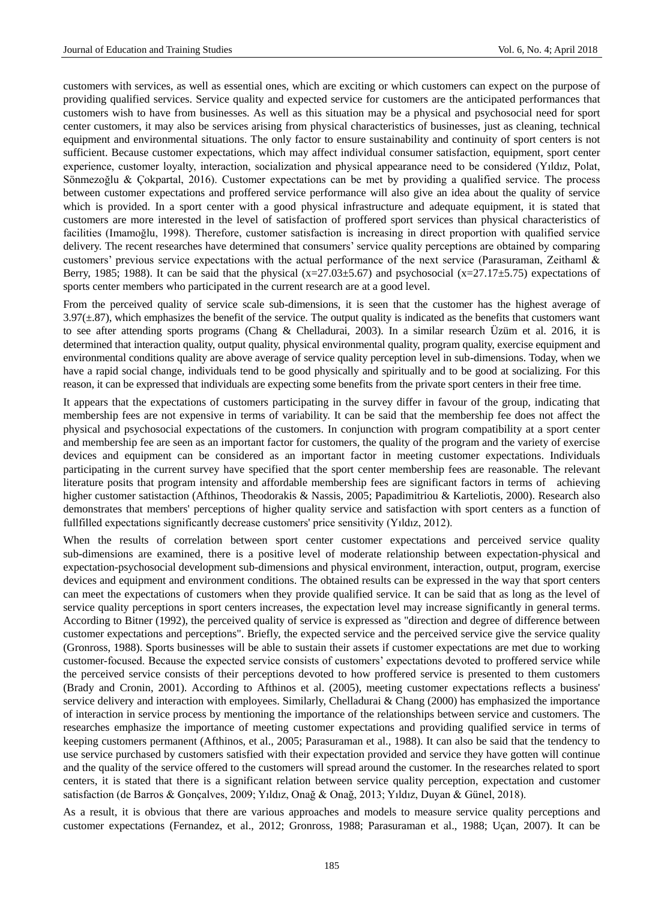customers with services, as well as essential ones, which are exciting or which customers can expect on the purpose of providing qualified services. Service quality and expected service for customers are the anticipated performances that customers wish to have from businesses. As well as this situation may be a physical and psychosocial need for sport center customers, it may also be services arising from physical characteristics of businesses, just as cleaning, technical equipment and environmental situations. The only factor to ensure sustainability and continuity of sport centers is not sufficient. Because customer expectations, which may affect individual consumer satisfaction, equipment, sport center experience, customer loyalty, interaction, socialization and physical appearance need to be considered (Yıldız, Polat, Sönmezoğlu & Çokpartal, 2016). Customer expectations can be met by providing a qualified service. The process between customer expectations and proffered service performance will also give an idea about the quality of service which is provided. In a sport center with a good physical infrastructure and adequate equipment, it is stated that customers are more interested in the level of satisfaction of proffered sport services than physical characteristics of facilities (Imamoğlu, 1998). Therefore, customer satisfaction is increasing in direct proportion with qualified service delivery. The recent researches have determined that consumers' service quality perceptions are obtained by comparing customers' previous service expectations with the actual performance of the next service (Parasuraman, Zeithaml & Berry, 1985; 1988). It can be said that the physical  $(x=27.03\pm5.67)$  and psychosocial  $(x=27.17\pm5.75)$  expectations of sports center members who participated in the current research are at a good level.

From the perceived quality of service scale sub-dimensions, it is seen that the customer has the highest average of  $3.97(\pm 87)$ , which emphasizes the benefit of the service. The output quality is indicated as the benefits that customers want to see after attending sports programs (Chang & Chelladurai, 2003). In a similar research Üzüm et al. 2016, it is determined that interaction quality, output quality, physical environmental quality, program quality, exercise equipment and environmental conditions quality are above average of service quality perception level in sub-dimensions. Today, when we have a rapid social change, individuals tend to be good physically and spiritually and to be good at socializing. For this reason, it can be expressed that individuals are expecting some benefits from the private sport centers in their free time.

It appears that the expectations of customers participating in the survey differ in favour of the group, indicating that membership fees are not expensive in terms of variability. It can be said that the membership fee does not affect the physical and psychosocial expectations of the customers. In conjunction with program compatibility at a sport center and membership fee are seen as an important factor for customers, the quality of the program and the variety of exercise devices and equipment can be considered as an important factor in meeting customer expectations. Individuals participating in the current survey have specified that the sport center membership fees are reasonable. The relevant literature posits that program intensity and affordable membership fees are significant factors in terms of achieving higher customer satistaction (Afthinos, Theodorakis & Nassis, 2005; Papadimitriou & Karteliotis, 2000). Research also demonstrates that members' perceptions of higher quality service and satisfaction with sport centers as a function of fullfilled expectations significantly decrease customers' price sensitivity (Yıldız, 2012).

When the results of correlation between sport center customer expectations and perceived service quality sub-dimensions are examined, there is a positive level of moderate relationship between expectation-physical and expectation-psychosocial development sub-dimensions and physical environment, interaction, output, program, exercise devices and equipment and environment conditions. The obtained results can be expressed in the way that sport centers can meet the expectations of customers when they provide qualified service. It can be said that as long as the level of service quality perceptions in sport centers increases, the expectation level may increase significantly in general terms. According to Bitner (1992), the perceived quality of service is expressed as "direction and degree of difference between customer expectations and perceptions". Briefly, the expected service and the perceived service give the service quality (Gronross, 1988). Sports businesses will be able to sustain their assets if customer expectations are met due to working customer-focused. Because the expected service consists of customers' expectations devoted to proffered service while the perceived service consists of their perceptions devoted to how proffered service is presented to them customers (Brady and Cronin, 2001). According to Afthinos et al. (2005), meeting customer expectations reflects a business' service delivery and interaction with employees. Similarly, Chelladurai & Chang (2000) has emphasized the importance of interaction in service process by mentioning the importance of the relationships between service and customers. The researches emphasize the importance of meeting customer expectations and providing qualified service in terms of keeping customers permanent (Afthinos, et al., 2005; Parasuraman et al., 1988). It can also be said that the tendency to use service purchased by customers satisfied with their expectation provided and service they have gotten will continue and the quality of the service offered to the customers will spread around the customer. In the researches related to sport centers, it is stated that there is a significant relation between service quality perception, expectation and customer satisfaction (de Barros & Gonçalves, 2009; Yıldız, Onağ & Onağ, 2013; Yıldız, Duyan & Günel, 2018).

As a result, it is obvious that there are various approaches and models to measure service quality perceptions and customer expectations (Fernandez, et al., 2012; Gronross, 1988; Parasuraman et al., 1988; Uçan, 2007). It can be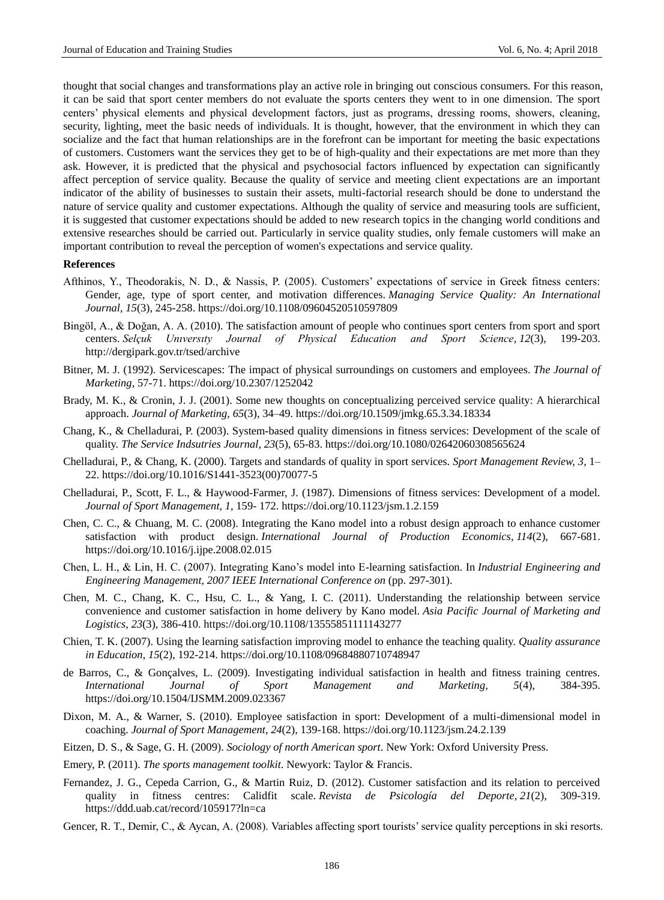thought that social changes and transformations play an active role in bringing out conscious consumers. For this reason, it can be said that sport center members do not evaluate the sports centers they went to in one dimension. The sport centers' physical elements and physical development factors, just as programs, dressing rooms, showers, cleaning, security, lighting, meet the basic needs of individuals. It is thought, however, that the environment in which they can socialize and the fact that human relationships are in the forefront can be important for meeting the basic expectations of customers. Customers want the services they get to be of high-quality and their expectations are met more than they ask. However, it is predicted that the physical and psychosocial factors influenced by expectation can significantly affect perception of service quality. Because the quality of service and meeting client expectations are an important indicator of the ability of businesses to sustain their assets, multi-factorial research should be done to understand the nature of service quality and customer expectations. Although the quality of service and measuring tools are sufficient, it is suggested that customer expectations should be added to new research topics in the changing world conditions and extensive researches should be carried out. Particularly in service quality studies, only female customers will make an important contribution to reveal the perception of women's expectations and service quality.

#### **References**

- Afthinos, Y., Theodorakis, N. D., & Nassis, P. (2005). Customers' expectations of service in Greek fitness centers: Gender, age, type of sport center, and motivation differences. *Managing Service Quality: An International Journal*, *15*(3), 245-258.<https://doi.org/10.1108/09604520510597809>
- Bingöl, A., & Doğan, A. A. (2010). The satisfaction amount of people who continues sport centers from sport and sport centers. *Selçuk Unıversıty Journal of Physical Education and Sport Science*, *12*(3), 199-203. http://dergipark.gov.tr/tsed/archive
- Bitner, M. J. (1992). Servicescapes: The impact of physical surroundings on customers and employees. *The Journal of Marketing*, 57-71. https://doi.org/10.2307/1252042
- Brady, M. K., & Cronin, J. J. (2001). Some new thoughts on conceptualizing perceived service quality: A hierarchical approach. *Journal of Marketing, 65*(3), 34–49[. https://doi.org/10.1509/jmkg.65.3.34.18334](https://doi.org/10.1509/jmkg.65.3.34.18334)
- Chang, K., & Chelladurai, P. (2003). System-based quality dimensions in fitness services: Development of the scale of quality. *The Service Indsutries Journal*, *23*(5), 65-83.<https://doi.org/10.1080/02642060308565624>
- Chelladurai, P., & Chang, K. (2000). Targets and standards of quality in sport services. *Sport Management Review, 3*, 1– 22[. https://doi.org/10.1016/S1441-3523\(00\)70077-5](https://doi.org/10.1016/S1441-3523(00)70077-5)
- Chelladurai, P., Scott, F. L., & Haywood-Farmer, J. (1987). Dimensions of fitness services: Development of a model. *Journal of Sport Management, 1,* 159- 172.<https://doi.org/10.1123/jsm.1.2.159>
- Chen, C. C., & Chuang, M. C. (2008). Integrating the Kano model into a robust design approach to enhance customer satisfaction with product design. *International Journal of Production Economics*, *114*(2), 667-681. <https://doi.org/10.1016/j.ijpe.2008.02.015>
- Chen, L. H., & Lin, H. C. (2007). Integrating Kano's model into E-learning satisfaction. In *Industrial Engineering and Engineering Management, 2007 IEEE International Conference on* (pp. 297-301).
- Chen, M. C., Chang, K. C., Hsu, C. L., & Yang, I. C. (2011). Understanding the relationship between service convenience and customer satisfaction in home delivery by Kano model. *Asia Pacific Journal of Marketing and Logistics*, *23*(3), 386-410.<https://doi.org/10.1108/13555851111143277>
- Chien, T. K. (2007). Using the learning satisfaction improving model to enhance the teaching quality. *Quality assurance in Education*, *15*(2), 192-214.<https://doi.org/10.1108/09684880710748947>
- de Barros, C., & Gonçalves, L. (2009). Investigating individual satisfaction in health and fitness training centres. *International Journal of Sport Management and Marketing, 5*(4), 384-395. <https://doi.org/10.1504/IJSMM.2009.023367>
- Dixon, M. A., & Warner, S. (2010). Employee satisfaction in sport: Development of a multi-dimensional model in coaching. *Journal of Sport Management*, *24*(2), 139-168.<https://doi.org/10.1123/jsm.24.2.139>
- Eitzen, D. S., & Sage, G. H. (2009). *Sociology of north American sport*. New York: Oxford University Press.
- Emery, P. (2011). *The sports management toolkit*. Newyork: Taylor & Francis.
- Fernandez, J. G., Cepeda Carrion, G., & Martin Ruiz, D. (2012). Customer satisfaction and its relation to perceived quality in fitness centres: Calidfit scale. *Revista de Psicología del Deporte*, *21*(2), 309-319. https://ddd.uab.cat/record/105917?ln=ca
- Gencer, R. T., Demir, C., & Aycan, A. (2008). Variables affecting sport tourists' service quality perceptions in ski resorts.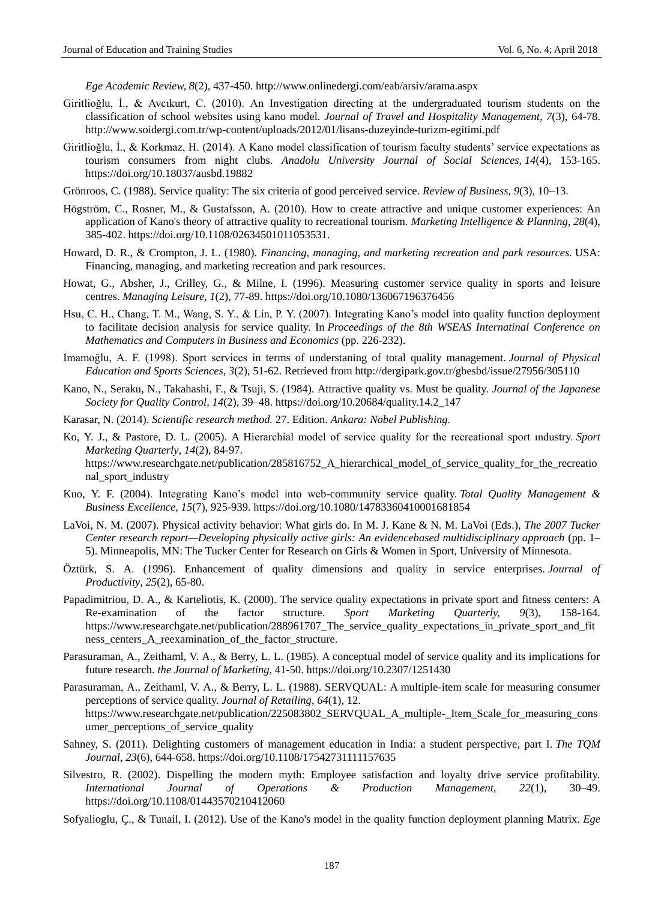*Ege Academic Review, 8*(2), 437-450. http://www.onlinedergi.com/eab/arsiv/arama.aspx

- Giritlioğlu, İ., & Avcıkurt, C. (2010). An Investigation directing at the undergraduated tourism students on the classification of school websites using kano model. *Journal of Travel and Hospitality Management, 7*(3), 64-78. http://www.soidergi.com.tr/wp-content/uploads/2012/01/lisans-duzeyinde-turizm-egitimi.pdf
- Giritlioğlu, İ., & Korkmaz, H. (2014). A Kano model classification of tourism faculty students' service expectations as tourism consumers from night clubs. *Anadolu University Journal of Social Sciences*, *14*(4), 153-165. https://doi.org/10.18037/ausbd.19882
- Grönroos, C. (1988). Service quality: The six criteria of good perceived service. *Review of Business, 9*(3), 10–13.
- Högström, C., Rosner, M., & Gustafsson, A. (2010). How to create attractive and unique customer experiences: An application of Kano's theory of attractive quality to recreational tourism. *Marketing Intelligence & Planning*, *28*(4), 385-402. [https://doi.org/10.1108/02634501011053531.](https://doi.org/10.1108/02634501011053531)
- Howard, D. R., & Crompton, J. L. (1980). *Financing, managing, and marketing recreation and park resources.* USA: Financing, managing, and marketing recreation and park resources.
- Howat, G., Absher, J., Crilley, G., & Milne, I. (1996). Measuring customer service quality in sports and leisure centres. *Managing Leisure*, *1*(2), 77-89.<https://doi.org/10.1080/136067196376456>
- Hsu, C. H., Chang, T. M., Wang, S. Y., & Lin, P. Y. (2007). Integrating Kano's model into quality function deployment to facilitate decision analysis for service quality. In *Proceedings of the 8th WSEAS Internatinal Conference on Mathematics and Computers in Business and Economics* (pp. 226-232).
- Imamoğlu, A. F. (1998). Sport services in terms of understaning of total quality management. *Journal of Physical Education and Sports Sciences, 3*(2), 51-62. Retrieved from http://dergipark.gov.tr/gbesbd/issue/27956/305110
- Kano, N., Seraku, N., Takahashi, F., & Tsuji, S. (1984). Attractive quality vs. Must be quality. *Journal of the Japanese Society for Quality Control*, *14*(2), 39–48. https://doi.org/10.20684/quality.14.2\_147
- Karasar, N. (2014). *Scientific research method.* 27. Edition. *Ankara: Nobel Publishing.*
- Ko, Y. J., & Pastore, D. L. (2005). A Hierarchial model of service quality for the recreational sport ındustry. *Sport Marketing Quarterly*, *14*(2), 84-97. https://www.researchgate.net/publication/285816752\_A\_hierarchical\_model\_of\_service\_quality\_for\_the\_recreatio nal\_sport\_industry
- Kuo, Y. F. (2004). Integrating Kano's model into web-community service quality. *Total Quality Management & Business Excellence*, *15*(7), 925-939[. https://doi.org/10.1080/14783360410001681854](https://doi.org/10.1080/14783360410001681854)
- LaVoi, N. M. (2007). Physical activity behavior: What girls do. In M. J. Kane & N. M. LaVoi (Eds.), *The 2007 Tucker Center research report—Developing physically active girls: An evidencebased multidisciplinary approach* (pp. 1– 5). Minneapolis, MN: The Tucker Center for Research on Girls & Women in Sport, University of Minnesota.
- Öztürk, S. A. (1996). Enhancement of quality dimensions and quality in service enterprises. *Journal of Productivity*, *25*(2), 65-80.
- Papadimitriou, D. A., & Karteliotis, K. (2000). The service quality expectations in private sport and fitness centers: A Re-examination of the factor structure. *Sport Marketing Quarterly, 9*(3), 158-164. https://www.researchgate.net/publication/288961707\_The\_service\_quality\_expectations\_in\_private\_sport\_and\_fit ness centers A reexamination of the factor structure.
- Parasuraman, A., Zeithaml, V. A., & Berry, L. L. (1985). A conceptual model of service quality and its implications for future research. *the Journal of Marketing*, 41-50. https://doi.org/10.2307/1251430
- Parasuraman, A., Zeithaml, V. A., & Berry, L. L. (1988). SERVQUAL: A multiple-item scale for measuring consumer perceptions of service quality. *Journal of Retailing*, *64*(1), 12. https://www.researchgate.net/publication/225083802\_SERVOUAL\_A\_multiple-\_Item\_Scale\_for\_measuring\_cons umer\_perceptions\_of\_service\_quality
- Sahney, S. (2011). Delighting customers of management education in India: a student perspective, part I. *The TQM Journal*, *23*(6), 644-658.<https://doi.org/10.1108/17542731111157635>
- Silvestro, R. (2002). Dispelling the modern myth: Employee satisfaction and loyalty drive service profitability. *International Journal of Operations & Production Management, 22*(1), 30–49. <https://doi.org/10.1108/01443570210412060>
- Sofyalioglu, Ç., & Tunail, I. (2012). Use of the Kano's model in the quality function deployment planning Matrix. *Ege*